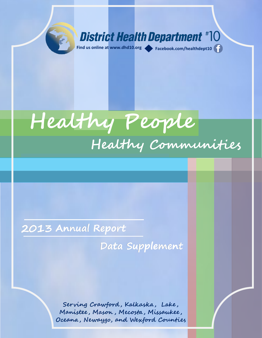



### **2013 Annual Report**

**Data Supplement**

www.dhandi

**Serving Crawford , Kalkaska , Lake , Manistee , Mason , Mecosta , Missaukee , Oceana , Newaygo, and Wexford Counties**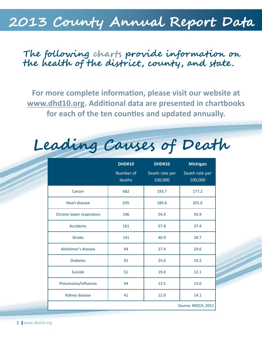## **2013 County Annual Report Data**

## **The following charts provide information on the health of the district, county, and state.**

**For more complete information, please visit our website at [www.dhd10.org.](http://www.dhd10.org) Additional data are presented in chartbooks for each of the ten counties and updated annually.** 

**Leading Causes of Death**

|                           | <b>DHD#10</b>       | <b>DHD#10</b>             | <b>Michigan</b>           |  |  |
|---------------------------|---------------------|---------------------------|---------------------------|--|--|
|                           | Number of<br>deaths | Death rate per<br>100,000 | Death rate per<br>100,000 |  |  |
| Cancer                    | 682                 | 193.7                     | 177.2                     |  |  |
| <b>Heart disease</b>      | 635                 | 185.6                     | 201.6                     |  |  |
| Chronic lower respiratory | 196                 | 54.9                      | 45.9                      |  |  |
| <b>Accidents</b>          | 161                 | 57.8                      | 37.4                      |  |  |
| <b>Stroke</b>             | 141                 | 40.9                      | 38.7                      |  |  |
| Alzheimer's disease       | 94                  | 27.4                      | 24.6                      |  |  |
| <b>Diabetes</b>           | 92                  | 25.6                      | 24.2                      |  |  |
| <b>Suicide</b>            | 51                  | 19.0                      | 12.1                      |  |  |
| Pneumonia/Influenza       | 44                  | 13.5                      | 15.0                      |  |  |
| Kidney disease            | 41                  | 12.0                      | 14.1                      |  |  |
|                           |                     |                           | Source: MDCH, 2011        |  |  |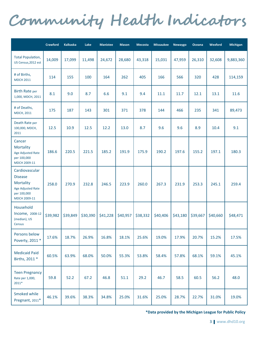# **Community Health Indicators**

|                                                                                                          | Crawford | <b>Kalkaska</b> | Lake     | <b>Manistee</b> | <b>Mason</b> | <b>Mecosta</b> | <b>Missaukee</b> | Newaygo  | Oceana   | Wexford  | Michigan  |
|----------------------------------------------------------------------------------------------------------|----------|-----------------|----------|-----------------|--------------|----------------|------------------|----------|----------|----------|-----------|
| <b>Total Population,</b><br>US Census, 2012 est                                                          | 14,009   | 17,099          | 11,498   | 24,672          | 28,680       | 43,318         | 15,031           | 47,959   | 26,310   | 32,608   | 9,883,360 |
| # of Births,<br><b>MDCH 2011</b>                                                                         | 114      | 155             | 100      | 164             | 262          | 405            | 166              | 566      | 320      | 428      | 114,159   |
| <b>Birth Rate per</b><br>1,000, MDCH, 2011                                                               | 8.1      | 9.0             | 8.7      | 6.6             | 9.1          | 9.4            | 11.1             | 11.7     | 12.1     | 13.1     | 11.6      |
| # of Deaths,<br><b>MDCH, 2011</b>                                                                        | 175      | 187             | 143      | 301             | 371          | 378            | 144              | 466      | 235      | 341      | 89,473    |
| Death Rate per<br>100,000, MDCH,<br>2011                                                                 | 12.5     | 10.9            | 12.5     | 12.2            | 13.0         | 8.7            | 9.6              | 9.6      | 8.9      | 10.4     | 9.1       |
| Cancer<br>Mortality<br>Age Adjusted Rate<br>per 100,000<br>MDCH 2009-11                                  | 186.6    | 220.5           | 221.5    | 185.2           | 191.9        | 175.9          | 190.2            | 197.6    | 155.2    | 197.1    | 180.3     |
| Cardiovascular<br><b>Disease</b><br><b>Mortality</b><br>Age Adjusted Rate<br>per 100,000<br>MDCH 2009-11 | 258.0    | 270.9           | 232.8    | 246.5           | 223.9        | 260.0          | 267.3            | 231.9    | 253.3    | 245.1    | 259.4     |
| Household<br>Income, 2008-12<br>(median), US<br>Census                                                   | \$39,982 | \$39,849        | \$30,390 | \$41,228        | \$40,957     | \$38,332       | \$40,406         | \$43,180 | \$39,667 | \$40,660 | \$48,471  |
| Persons below<br>Poverty, 2011 *                                                                         | 17.6%    | 18.7%           | 26.9%    | 16.8%           | 18.1%        | 25.6%          | 19.0%            | 17.9%    | 20.7%    | 15.2%    | 17.5%     |
| <b>Medicaid Paid</b><br>Births, 2011 *                                                                   | 60.5%    | 63.9%           | 68.0%    | 50.0%           | 55.3%        | 53.8%          | 58.4%            | 57.8%    | 68.1%    | 59.1%    | 45.1%     |
| <b>Teen Pregnancy</b><br>Rate per 1,000,<br>$2011*$                                                      | 59.8     | 52.2            | 67.2     | 46.8            | 51.1         | 29.2           | 46.7             | 58.5     | 60.5     | 56.2     | 48.0      |
| Smoked while<br>Pregnant, 2011*                                                                          | 46.1%    | 39.6%           | 38.3%    | 34.8%           | 25.0%        | 31.6%          | 25.0%            | 28.7%    | 22.7%    | 31.0%    | 19.0%     |

**\*Data provided by the Michigan League for Public Policy**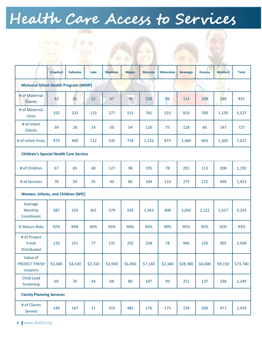# **Health Care Access to Services**

合金

 $\begin{pmatrix} 1 & 1 & 1 \\ 1 & 1 & 1 \\ 1 & 1 & 1 \end{pmatrix}$ 

|                                               | <b>Crawford</b> | <b>Kalkaska</b> | Lake    | <b>Manistee</b> | <b>Mason</b> | <b>Mecosta</b> | <b>Missaukee</b> | <b>Newaygo</b> | <b>Oceana</b> | Wexford | <b>Total</b> |
|-----------------------------------------------|-----------------|-----------------|---------|-----------------|--------------|----------------|------------------|----------------|---------------|---------|--------------|
| <b>Maternal Infant Health Program (MIHP)</b>  |                 |                 |         |                 |              |                |                  |                |               | ×       |              |
| # of Maternal<br><b>Clients</b>               | 43              | 41              | 22      | 47              | 76           | 120            | 86               | 114            | 108           | 168     | 825          |
| # of Maternal<br><b>Visits</b>                | 332             | 323             | 123     | 277             | 515          | 765            | 533              | 810            | 700           | 1,159   | 5,527        |
| # of Infant<br>Clients                        | 39              | 28              | 14      | 50              | 54           | 126            | 75               | 128            | 66            | 147     | 727          |
| # of Infant Visits                            | 474             | 409             | 112     | 535             | 734          | 1,116          | 873              | 1,460          | 603           | 1,305   | 7,621        |
| <b>Children's Special Health Care Service</b> |                 |                 |         |                 |              |                |                  |                |               |         |              |
| # of Children                                 | 67              | 65              | 40      | 127             | 98           | 195            | 78               | 201            | 113           | 208     | 1,192        |
| # of Services                                 | 70              | 50              | 35      | 44              | 86           | 104            | 119              | 275            | 172           | 498     | 1,453        |
| Women, Infants, and Children (WIC)            |                 |                 |         |                 |              |                |                  |                |               |         |              |
| Average<br><b>Monthly</b><br>Enrollment       | 387             | 559             | 361     | 579             | 935          | 1,343          | 408              | 2,042          | 1,122         | 1,557   | 9,293        |
| % Return Rate                                 | 92%             | 94%             | 94%     | 93%             | 94%          | 94%            | 90%              | 95%            | 95%           | 92%     | 93%          |
| # of Project<br>Fresh<br><b>Distributed</b>   | 110             | 151             | 77      | 131             | 202          | 238            | 78               | 946            | 220           | 305     | 2,458        |
| Value of<br><b>PROJECT FRESH</b><br>coupons   | \$3,300         | \$4,530         | \$2,310 | \$3,930         | \$6,060      | \$7,140        | \$2,340          | \$28,380       | \$6,600       | \$9,150 | \$73,740     |
| <b>Child Lead</b><br>Screening                | 69              | 76              | 44      | 68              | 80           | 187            | 99               | 251            | 137           | 238     | 1,249        |
| <b>Family Planning Services</b>               |                 |                 |         |                 |              |                |                  |                |               |         |              |
| # of Clients<br>Served                        | 149             | 167             | 21      | 253             | 482          | 176            | 175              | 239            | 296           | 471     | 2,429        |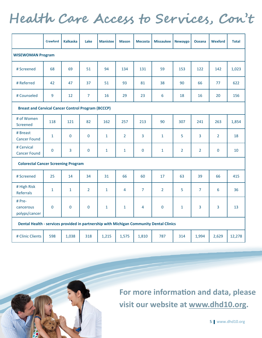## **Health Care Access to Services, Con't**

|                                                                                         | <b>Crawford</b> | <b>Kalkaska</b>   | Lake           | <b>Manistee</b> | <b>Mason</b>   | <b>Mecosta</b> | <b>Missaukee</b> | <b>Newaygo</b> | <b>Oceana</b>  | <b>Wexford</b> | <b>Total</b> |  |
|-----------------------------------------------------------------------------------------|-----------------|-------------------|----------------|-----------------|----------------|----------------|------------------|----------------|----------------|----------------|--------------|--|
| <b>WISEWOMAN Program</b>                                                                |                 |                   |                |                 |                |                |                  |                |                |                |              |  |
| # Screened                                                                              | 68              | 69                | 51             | 94              | 134            | 131            | 59               | 153            | 122            | 142            | 1,023        |  |
| # Referred                                                                              | 42              | 47                | 37             | 51              | 93             | 81             | 38               | 90             | 66             | 77             | 622          |  |
| # Counseled                                                                             | 9               | $12 \overline{ }$ | $\overline{7}$ | 16              | 29             | 23             | 6                | 18             | 16             | 20             | 156          |  |
| <b>Breast and Cervical Cancer Control Program (BCCCP)</b>                               |                 |                   |                |                 |                |                |                  |                |                |                |              |  |
| # of Women<br>Screened                                                                  | 118             | 121               | 82             | 162             | 257            | 213            | 90               | 307            | 241            | 263            | 1,854        |  |
| # Breast<br><b>Cancer Found</b>                                                         | $\mathbf{1}$    | $\mathbf 0$       | $\mathbf 0$    | $\mathbf{1}$    | $\overline{2}$ | 3              | $\mathbf{1}$     | 5              | $\overline{3}$ | $\overline{2}$ | 18           |  |
| # Cervical<br><b>Cancer Found</b>                                                       | 0               | 3                 | $\mathbf 0$    | $\mathbf{1}$    | $\mathbf{1}$   | $\mathbf 0$    | $\mathbf{1}$     | $\overline{2}$ | $\overline{2}$ | $\mathbf 0$    | 10           |  |
| <b>Colorectal Cancer Screening Program</b>                                              |                 |                   |                |                 |                |                |                  |                |                |                |              |  |
| # Screened                                                                              | 25              | 14                | 34             | 31              | 66             | 60             | 17               | 63             | 39             | 66             | 415          |  |
| # High Risk<br>Referrals                                                                | $\mathbf{1}$    | $\mathbf{1}$      | $\overline{2}$ | $\mathbf{1}$    | $\overline{4}$ | $\overline{7}$ | $\overline{2}$   | 5              | $\overline{7}$ | 6              | 36           |  |
| # Pre-<br>cancerous<br>polyps/cancer                                                    | $\mathbf 0$     | $\Omega$          | $\mathbf 0$    | $\mathbf{1}$    | 1              | 4              | $\mathbf{0}$     | 1              | 3              | 3              | 13           |  |
| Dental Health - services provided in partnership with Michigan Community Dental Clinics |                 |                   |                |                 |                |                |                  |                |                |                |              |  |
| # Clinic Clients                                                                        | 598             | 1,038             | 318            | 1,215           | 1,575          | 1,810          | 787              | 314            | 1,994          | 2,629          | 12,278       |  |



**For more information and data, please visit our website at [www.dhd10.org.](http://www.dhd10.org)** 

5 www.dhd10.org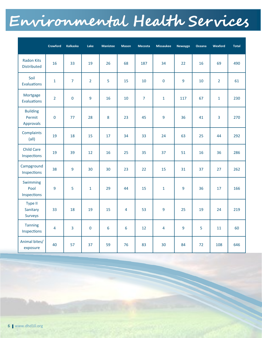# **Environmental Health Services**

|                                         | Crawford       | <b>Kalkaska</b> | Lake           | <b>Manistee</b> | <b>Mason</b> | <b>Mecosta</b> | <b>Missaukee</b> | <b>Newaygo</b> | Oceana | Wexford        | <b>Total</b> |
|-----------------------------------------|----------------|-----------------|----------------|-----------------|--------------|----------------|------------------|----------------|--------|----------------|--------------|
| <b>Radon Kits</b><br><b>Distributed</b> | 16             | 33              | 19             | 26              | 68           | 187            | 34               | 22             | 16     | 69             | 490          |
| Soil<br>Evaluations                     | $\mathbf{1}$   | $\overline{7}$  | $\overline{2}$ | 5               | 15           | 10             | $\mathbf 0$      | 9              | 10     | $\overline{2}$ | 61           |
| Mortgage<br><b>Evaluations</b>          | $\overline{2}$ | $\mathbf 0$     | 9              | 16              | 10           | $\overline{7}$ | $\mathbf{1}$     | 117            | 67     | $\mathbf{1}$   | 230          |
| <b>Building</b><br>Permit<br>Approvals  | $\mathbf 0$    | 77              | 28             | 8               | 23           | 45             | 9                | 36             | 41     | $\overline{3}$ | 270          |
| Complaints<br>$\left(\text{all}\right)$ | 19             | 18              | 15             | 17              | 34           | 33             | 24               | 63             | 25     | 44             | 292          |
| <b>Child Care</b><br>Inspections        | 19             | 39              | 12             | 16              | 25           | 35             | 37               | 51             | 16     | 36             | 286          |
| Campground<br>Inspections               | 38             | 9               | 30             | 30              | 23           | 22             | 15               | 31             | 37     | 27             | 262          |
| Swimming<br>Pool<br>Inspections         | 9              | 5               | $\mathbf{1}$   | 29              | 44           | 15             | $\mathbf{1}$     | 9              | 36     | 17             | 166          |
| Type II<br>Sanitary<br><b>Surveys</b>   | 33             | 18              | 19             | 15              | 4            | 53             | 9                | 25             | 19     | 24             | 219          |
| <b>Tanning</b><br>Inspections           | 4              | 3               | $\mathbf 0$    | 6               | 6            | 12             | 4                | 9              | 5      | 11             | 60           |
| Animal bites/<br>exposure               | 40             | 57              | 37             | 59              | 76           | 83             | 30               | 84             | 72     | 108            | 646          |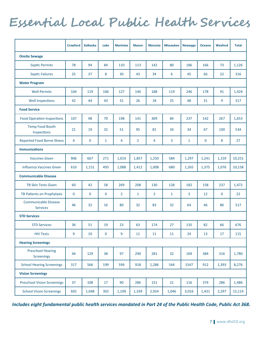## **Essential Local Public Health Services**

|                                                | <b>Crawford</b> | <b>Kalkaska</b> | Lake         | <b>Manistee</b> | <b>Mason</b>   | <b>Mecosta</b> | <b>Missaukee</b> | <b>Newaygo</b> | <b>Oceana</b> | <b>Wexford</b> | <b>Total</b> |
|------------------------------------------------|-----------------|-----------------|--------------|-----------------|----------------|----------------|------------------|----------------|---------------|----------------|--------------|
| <b>Onsite Sewage</b>                           |                 |                 |              |                 |                |                |                  |                |               |                |              |
| <b>Septic Permits</b>                          | 78              | 94              | 84           | 110             | 113            | 142            | 80               | 186            | 166           | 73             | 1,126        |
| <b>Septic Failures</b>                         | 25              | 37              | 8            | 30              | 43             | 34             | 6                | 45             | 66            | 22             | 316          |
| <b>Water Program</b>                           |                 |                 |              |                 |                |                |                  |                |               |                |              |
| <b>Well Permits</b>                            | 104             | 119             | 106          | 127             | 146            | 188            | 119              | 246            | 178           | 91             | 1,424        |
| <b>Well Inspections</b>                        | 42              | 44              | 43           | 31              | 26             | 18             | 25               | 48             | 31            | 9              | 317          |
| <b>Food Service</b>                            |                 |                 |              |                 |                |                |                  |                |               |                |              |
| <b>Food Operation Inspections</b>              | 107             | 98              | 70           | 198             | 141            | 309            | 84               | 237            | 142           | 267            | 1,653        |
| <b>Temp Food Booth</b><br>Inspections          | 21              | 19              | 32           | 51              | 95             | 81             | 34               | 34             | 67            | 100            | 534          |
| <b>Reported Food Borne Illness</b>             | 4               | $\mathbf 0$     | $\mathbf{1}$ | 4               | $\overline{2}$ | 4              | 3                | $\mathbf{1}$   | $\mathbf 0$   | 8              | 27           |
| <b>Immunizations</b>                           |                 |                 |              |                 |                |                |                  |                |               |                |              |
| <b>Vaccines Given</b>                          | 906             | 667             | 271          | 1,019           | 1.857          | 1,250          | 584              | 1,297          | 1,241         | 1,159          | 10,251       |
| <b>Influenza Vaccines Given</b>                | 610             | 1,151           | 493          | 1,088           | 1,412          | 1,008          | 680              | 1,265          | 1,375         | 1,076          | 10,158       |
| <b>Communicable Disease</b>                    |                 |                 |              |                 |                |                |                  |                |               |                |              |
| <b>TB Skin Tests Given</b>                     | 60              | 42              | 58           | 269             | 208            | 130            | 128              | 182            | 158           | 237            | 1,472        |
| TB Patients on Prophylaxis                     | 0               | $\mathbf 0$     | $\mathbf{0}$ | $\overline{2}$  | $\mathbf{1}$   | 3              | $\mathbf{1}$     | 3              | 12            | $\mathbf{0}$   | 22           |
| <b>Communicable Disease</b><br><b>Services</b> | 46              | 32              | 16           | 80              | 32             | 83             | 32               | 64             | 46            | 86             | 517          |
| <b>STD Services</b>                            |                 |                 |              |                 |                |                |                  |                |               |                |              |
| <b>STD Services</b>                            | 36              | 51              | 19           | 23              | 63             | 174            | 27               | 135            | 82            | 66             | 676          |
| <b>HIV Tests</b>                               | 9               | 10              | $\mathbf 0$  | 9               | 11             | 11             | 11               | 24             | 13            | 17             | 115          |
| <b>Hearing Screenings</b>                      |                 |                 |              |                 |                |                |                  |                |               |                |              |
| <b>Preschool Hearing</b><br>Screenings         | 44              | 129             | 38           | 97              | 290            | 281            | 32               | 169            | 384           | 316            | 1,780        |
| <b>School Hearing Screenings</b>               | 317             | 566             | 199          | 594             | 918            | 1,286          | 544              | 1547           | 912           | 1,393          | 8,276        |
| <b>Vision Screenings</b>                       |                 |                 |              |                 |                |                |                  |                |               |                |              |
| <b>Preschool Vision Screenings</b>             | 37              | 108             | 17           | 90              | 286            | 151            | 21               | 116            | 374           | 286            | 1,486        |
| <b>School Vision Screenings</b>                | 602             | 1,048           | 302          | 1,109           | 1,339          | 2,924          | 1,046            | 3,016          | 1,431         | 2,297          | 15,114       |

*Includes eight fundamental public health services mandated in Part 24 of the Public Health Code, Public Act 368.*